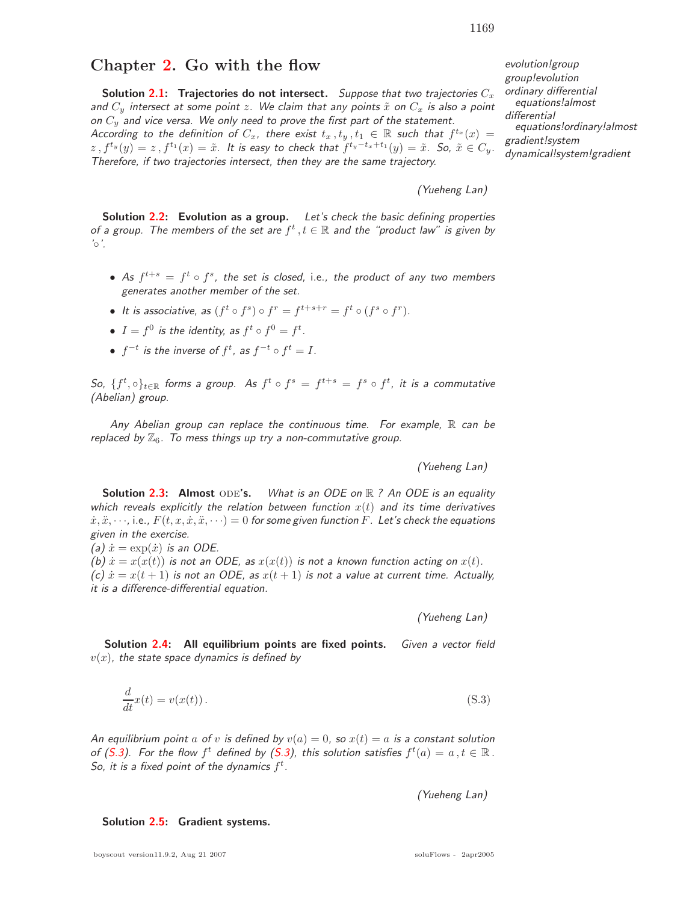## **Chapter 2. Go with the flow**

**Solution 2.1: Trajectories do not intersect.** Suppose that two trajectories  $C_x$ and  $C_y$  intersect at some point z. We claim that any points  $\tilde{x}$  on  $C_x$  is also a point on  $C_y$  and vice versa. We only need to prove the first part of the statement. According to the definition of  $C_x$ , there exist  $t_x$ ,  $t_y$ ,  $t_1 \in \mathbb{R}$  such that  $f^{t_x}(x) =$  $z, f^{t_y}(y)=z, f^{t_1}(x)=\tilde{x}$ . It is easy to check that  $f^{t_y-t_x+t_1}(y)=\tilde{x}$ . So,  $\tilde{x} \in C_y$ . Therefore, if two trajectories intersect, then they are the same trajectory.

(Yueheng Lan)

**Solution 2.2: Evolution as a group.** Let's check the basic defining properties of a group. The members of the set are  $f^t$ ,  $t \in \mathbb{R}$  and the "product law" is given by  $^{\prime} \circ$  '.

- As  $f^{t+s} = f^t \circ f^s$ , the set is closed, i.e., the product of any two members generates another member of the set.
- It is associative, as  $(f^t \circ f^s) \circ f^r = f^{t+s+r} = f^t \circ (f^s \circ f^r)$ .
- $I = f^0$  is the identity, as  $f^t \circ f^0 = f^t$ .
- $\bullet\;\;f^{-t}\;$  is the inverse of  $f^t$ , as  $f^{-t}\circ f^t=I.$

So,  $\{f^t, \circ\}_{t\in\mathbb{R}}$  forms a group. As  $f^t \circ f^s = f^{t+s} = f^s \circ f^t$ , it is a commutative (Abelian) group.

Any Abelian group can replace the continuous time. For example,  $\mathbb R$  can be replaced by  $\mathbb{Z}_6$ . To mess things up try a non-commutative group.

(Yueheng Lan)

**Solution 2.3: Almost** ODE's. What is an ODE on  $\mathbb{R}$  ? An ODE is an equality which reveals explicitly the relation between function  $x(t)$  and its time derivatives  $\dot{x}, \ddot{x}, \dots$ , i.e.,  $F(t, x, \dot{x}, \ddot{x}, \dots) = 0$  for some given function F. Let's check the equations given in the exercise.

(a)  $\dot{x} = \exp(\dot{x})$  is an ODE.

(b)  $\dot{x} = x(x(t))$  is not an ODE, as  $x(x(t))$  is not a known function acting on  $x(t)$ . (c)  $\dot{x} = x(t+1)$  is not an ODE, as  $x(t+1)$  is not a value at current time. Actually, it is a difference-differential equation.

(Yueheng Lan)

**Solution 2.4: All equilibrium points are fixed points.** Given a vector field  $v(x)$ , the state space dynamics is defined by

$$
\frac{d}{dt}x(t) = v(x(t)).
$$
\n(S.3)

An equilibrium point a of v is defined by  $v(a)=0$ , so  $x(t) = a$  is a constant solution of (S.3). For the flow  $f^t$  defined by (S.3), this solution satisfies  $f^t(a) = a, t \in \mathbb{R}$ . So, it is a fixed point of the dynamics  $f^t$ .

(Yueheng Lan)

**Solution 2.5: Gradient systems.**

evolution!group group!evolution ordinary differential equations!almost differential equations!ordinary!almost gradient!system dynamical!system!gradient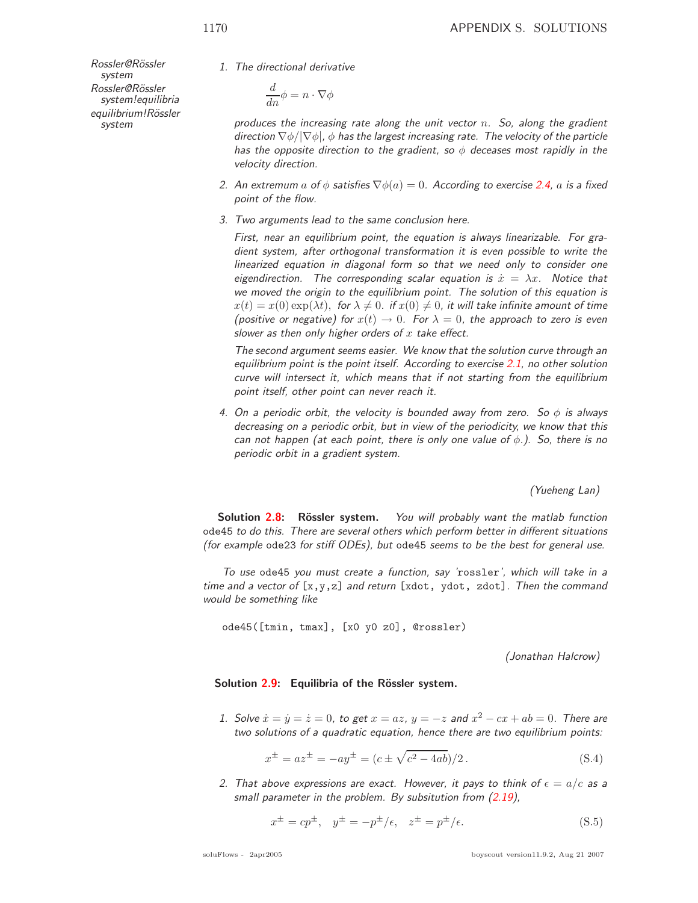Rossler@Rössler system Rossler@Rössler system!equilibria equilibrium!Rössler system

1. The directional derivative

$$
\frac{d}{dn}\phi = n \cdot \nabla \phi
$$

produces the increasing rate along the unit vector  $n$ . So, along the gradient direction  $\nabla \phi / |\nabla \phi|$ ,  $\phi$  has the largest increasing rate. The velocity of the particle has the opposite direction to the gradient, so  $\phi$  deceases most rapidly in the velocity direction.

- 2. An extremum a of  $\phi$  satisfies  $\nabla \phi(a)=0$ . According to exercise 2.4, a is a fixed point of the flow.
- 3. Two arguments lead to the same conclusion here.

First, near an equilibrium point, the equation is always linearizable. For gradient system, after orthogonal transformation it is even possible to write the linearized equation in diagonal form so that we need only to consider one eigendirection. The corresponding scalar equation is  $\dot{x} = \lambda x$ . Notice that we moved the origin to the equilibrium point. The solution of this equation is  $x(t) = x(0) \exp(\lambda t)$ , for  $\lambda \neq 0$ . if  $x(0) \neq 0$ , it will take infinite amount of time (positive or negative) for  $x(t) \to 0$ . For  $\lambda = 0$ , the approach to zero is even slower as then only higher orders of  $x$  take effect.

The second argument seems easier. We know that the solution curve through an equilibrium point is the point itself. According to exercise 2.1, no other solution curve will intersect it, which means that if not starting from the equilibrium point itself, other point can never reach it.

4. On a periodic orbit, the velocity is bounded away from zero. So  $\phi$  is always decreasing on a periodic orbit, but in view of the periodicity, we know that this can not happen (at each point, there is only one value of  $\phi$ .). So, there is no periodic orbit in a gradient system.

(Yueheng Lan)

**Solution 2.8:** Rössler system. You will probably want the matlab function ode45 to do this. There are several others which perform better in different situations (for example ode23 for stiff ODEs), but ode45 seems to be the best for general use.

To use ode45 you must create a function, say 'rossler', which will take in a time and a vector of  $[x,y,z]$  and return [xdot, ydot, zdot]. Then the command would be something like

ode45([tmin, tmax], [x0 y0 z0], @rossler)

(Jonathan Halcrow)

## **Solution 2.9:** Equilibria of the Rössler system.

1. Solve  $\dot{x} = \dot{y} = \dot{z} = 0$ , to get  $x = az$ ,  $y = -z$  and  $x^2 - cx + ab = 0$ . There are two solutions of a quadratic equation, hence there are two equilibrium points:

$$
x^{\pm} = az^{\pm} = -ay^{\pm} = (c \pm \sqrt{c^2 - 4ab})/2.
$$
 (S.4)

2. That above expressions are exact. However, it pays to think of  $\epsilon = a/c$  as a small parameter in the problem. By subsitution from (2.19),

$$
x^{\pm} = cp^{\pm}, y^{\pm} = -p^{\pm}/\epsilon, z^{\pm} = p^{\pm}/\epsilon.
$$
 (S.5)